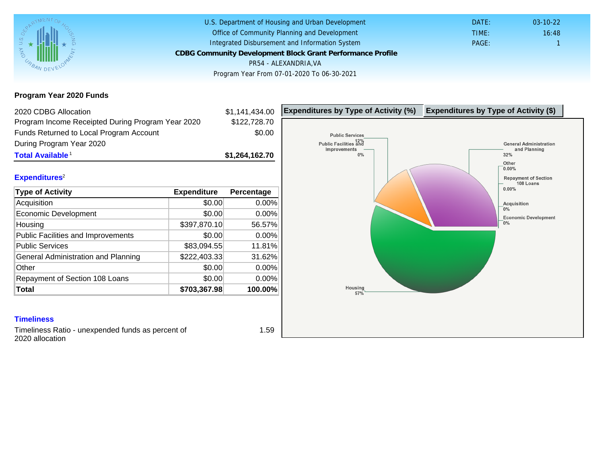Program Year 2020 Funds

| 2020 CDBG Allocation                              |              | \$1,141,434.00 | Expenditures by Type of Activity (%) | Expenditure |
|---------------------------------------------------|--------------|----------------|--------------------------------------|-------------|
| Program Income Receipted During Program Year 2020 |              | \$122,728.70   |                                      |             |
| Funds Returned to Local Program Account           |              | \$0.00         |                                      |             |
| During Program Year 2020                          |              |                |                                      |             |
| Total Available <sup>1</sup>                      |              | \$1,264,162.70 |                                      |             |
|                                                   |              |                |                                      |             |
| Expenditures <sup>2</sup>                         |              |                |                                      |             |
| Type of Activity                                  | Expenditure  | Percentage     |                                      |             |
| Acquisition                                       | \$0.00       | 0.00%          |                                      |             |
| Economic Development                              | \$0.00       | 0.00%          |                                      |             |
| Housing                                           | \$397,870.10 | 56.57%         |                                      |             |
| Public Facilities and Improvements                | \$0.00       | 0.00%          |                                      |             |
| <b>Public Services</b>                            | \$83,094.55  | 11.81%         |                                      |             |
| General Administration and Planning               | \$222,403.33 | 31.62%         |                                      |             |
| Other                                             | \$0.00       | 0.00%          |                                      |             |
| Repayment of Section 108 Loans                    | \$0.00       | 0.00%          |                                      |             |
| Total                                             | \$703,367.98 | 100.00%        |                                      |             |
|                                                   |              |                |                                      |             |
|                                                   |              |                |                                      |             |
| <b>Timeliness</b>                                 |              |                |                                      |             |

Timeliness Ratio - unexpended funds as percent of 2020 allocation

1.59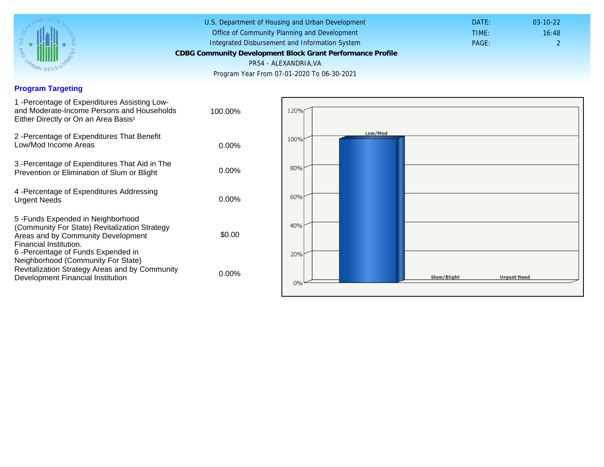## Program Targeting

| 1 - Percentage of Expenditures Assisting Low-<br>and Moderate-Income Persons and Households<br>Either Directly or On an Area Basis <sup>3</sup>                                                                                | 100.00%  |
|--------------------------------------------------------------------------------------------------------------------------------------------------------------------------------------------------------------------------------|----------|
| 2 - Percentage of Expenditures That Benefit<br>Low/Mod Income Areas                                                                                                                                                            | $0.00\%$ |
| 3 -Percentage of Expenditures That Aid in The<br>Prevention or Elimination of Slum or Blight                                                                                                                                   | $0.00\%$ |
| 4 - Percentage of Expenditures Addressing<br><b>Urgent Needs</b>                                                                                                                                                               | $0.00\%$ |
| 5-Funds Expended in Neighborhood<br>(Community For State) Revitalization Strategy<br>Areas and by Community Development<br>Financial Institution.<br>6 - Percentage of Funds Expended in<br>Neighborhood (Community For State) | \$0.00   |
| Revitalization Strategy Areas and by Community<br>Development Financial Institution                                                                                                                                            | $0.00\%$ |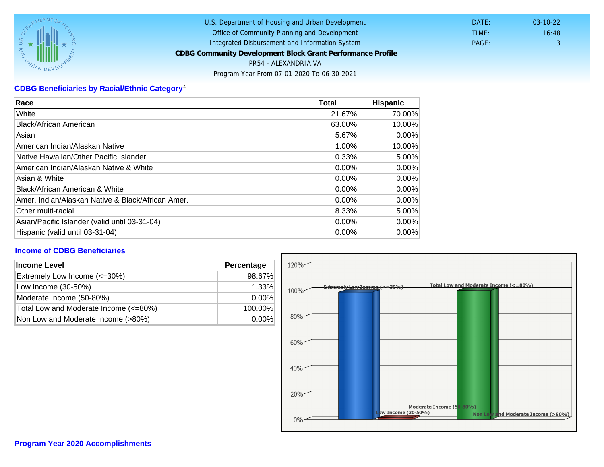# CDBG Beneficiaries by Racial/Ethnic Category <sup>4</sup>

| Race                                              | Total    | Hispanic |
|---------------------------------------------------|----------|----------|
| White                                             | 21.67%   | 70.00%   |
| Black/African American                            | 63.00%   | 10.00%   |
| Asian                                             | 5.67%    | $0.00\%$ |
| IAmerican Indian/Alaskan Native                   | 1.00%    | 10.00%   |
| lNative Hawaiian/Other Pacific Islander           | 0.33%    | 5.00%    |
| American Indian/Alaskan Native & White            | $0.00\%$ | $0.00\%$ |
| Asian & White                                     | 0.00%    | $0.00\%$ |
| Black/African American & White                    | $0.00\%$ | 0.00%    |
| Amer. Indian/Alaskan Native & Black/African Amer. | $0.00\%$ | $0.00\%$ |
| <b>Other multi-racial</b>                         | 8.33%    | 5.00%    |
| Asian/Pacific Islander (valid until 03-31-04)     | 0.00%    | 0.00%    |
| Hispanic (valid until 03-31-04)                   | $0.00\%$ | $0.00\%$ |

### Income of CDBG Beneficiaries

| Income Level                          | Percentage |
|---------------------------------------|------------|
| Extremely Low Income (<=30%)          | 98.67%     |
| Low Income (30-50%)                   | 1.33%      |
| Moderate Income (50-80%)              | $0.00\%$   |
| Total Low and Moderate Income (<=80%) | 100.00%    |
| Non Low and Moderate Income (>80%)    | $0.00\%$   |